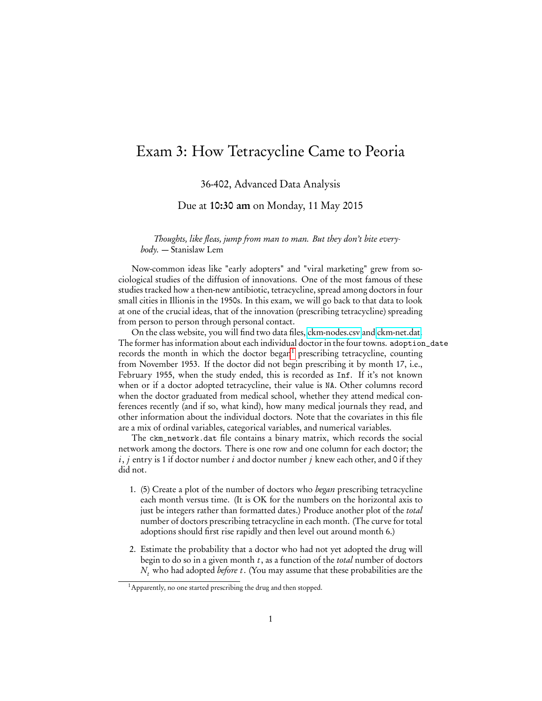## Exam 3: How Tetracycline Came to Peoria

## 36-402, Advanced Data Analysis

Due at 10:30 am on Monday, 11 May 2015

Thoughts, like fleas, jump from man to man. But they don't bite every $body. - Stanislaw Lem$ 

Now-common ideas like "early adopters" and "viral marketing" grew from sociological studies of the diffusion of innovations. One of the most famous of these studies tracked how a then-new antibiotic, tetracycline, spread among doctors in four small cities in Illionis in the 1950s. In this exam, we will go back to that data to look at one of the crucial ideas, that of the innovation (prescribing tetracycline) spreading from person to person through personal contact.

On the class website, you will find two data files, [ckm-nodes.csv](http://www.stat.cmu.edu/~cshalizi/uADA/15/exams/3/ckm-nodes.csv) and [ckm-net.dat.](http://www.stat.cmu.edu/~cshalizi/uADA/15/exams/3/ckm-net.csv) The former has information about each individual doctor in the four towns. adoption\_date records the month in which the doctor began<sup>[1](#page-0-0)</sup> prescribing tetracycline, counting from November 1953. If the doctor did not begin prescribing it by month 17, i.e., February 1955, when the study ended, this is recorded as Inf. If it's not known when or if a doctor adopted tetracycline, their value is NA. Other columns record when the doctor graduated from medical school, whether they attend medical conferences recently (and if so, what kind), how many medical journals they read, and other information about the individual doctors. Note that the covariates in this file are a mix of ordinal variables, categorical variables, and numerical variables.

The ckm\_network.dat file contains a binary matrix, which records the social network among the doctors. There is one row and one column for each doctor; the  $i, j$  entry is 1 if doctor number i and doctor number j knew each other, and 0 if they did not.

- 1. (5) Create a plot of the number of doctors who *began* prescribing tetracycline each month versus time. (It is OK for the numbers on the horizontal axis to just be integers rather than formatted dates.) Produce another plot of the total number of doctors prescribing tetracycline in each month. (The curve for total adoptions should first rise rapidly and then level out around month 6.)
- 2. Estimate the probability that a doctor who had not yet adopted the drug will begin to do so in a given month  $t$ , as a function of the *total* number of doctors  $N_t$ , who had adopted *before t*. (You may assume that these probabilities are the

<span id="page-0-0"></span><sup>&</sup>lt;sup>1</sup>Apparently, no one started prescribing the drug and then stopped.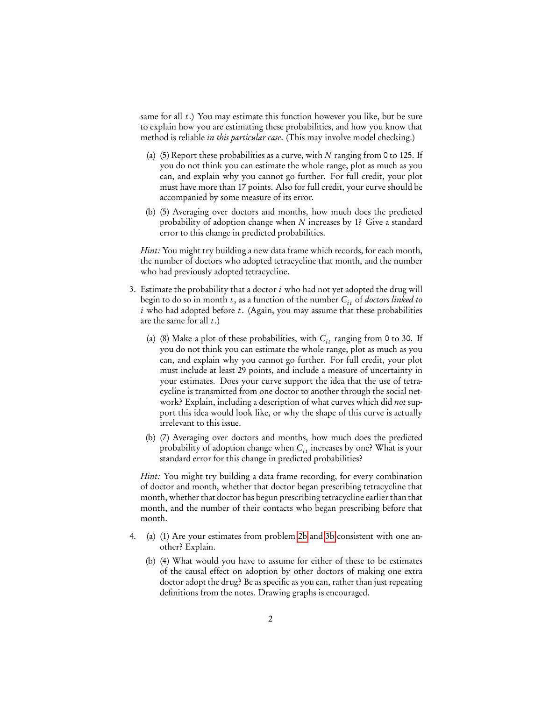same for all t.) You may estimate this function however you like, but be sure to explain how you are estimating these probabilities, and how you know that method is reliable *in this particular case*. (This may involve model checking.)

- (a) (5) Report these probabilities as a curve, with  $N$  ranging from 0 to 125. If you do not think you can estimate the whole range, plot as much as you can, and explain why you cannot go further. For full credit, your plot must have more than 17 points. Also for full credit, your curve should be accompanied by some measure of its error.
- <span id="page-1-0"></span>(b) (5) Averaging over doctors and months, how much does the predicted probability of adoption change when  $N$  increases by 1? Give a standard error to this change in predicted probabilities.

Hint: You might try building a new data frame which records, for each month, the number of doctors who adopted tetracycline that month, and the number who had previously adopted tetracycline.

- 3. Estimate the probability that a doctor  $i$  who had not yet adopted the drug will begin to do so in month t, as a function of the number  $C_{it}$  of doctors linked to  $i$  who had adopted before  $t$ . (Again, you may assume that these probabilities are the same for all  $t$ .)
	- (a) (8) Make a plot of these probabilities, with  $C_{it}$  ranging from 0 to 30. If you do not think you can estimate the whole range, plot as much as you can, and explain why you cannot go further. For full credit, your plot must include at least 29 points, and include a measure of uncertainty in your estimates. Does your curve support the idea that the use of tetracycline is transmitted from one doctor to another through the social network? Explain, including a description of what curves which did *not* support this idea would look like, or why the shape of this curve is actually irrelevant to this issue.
	- (b) (7) Averaging over doctors and months, how much does the predicted probability of adoption change when  $C_{it}$  increases by one? What is your standard error for this change in predicted probabilities?

<span id="page-1-1"></span>Hint: You might try building a data frame recording, for every combination of doctor and month, whether that doctor began prescribing tetracycline that month, whether that doctor has begun prescribing tetracycline earlier than that month, and the number of their contacts who began prescribing before that month.

- 4. (a) (1) Are your estimates from problem [2b](#page-1-0) and [3b](#page-1-1) consistent with one another? Explain.
	- (b) (4) What would you have to assume for either of these to be estimates of the causal effect on adoption by other doctors of making one extra doctor adopt the drug? Be as specific as you can, rather than just repeating definitions from the notes. Drawing graphs is encouraged.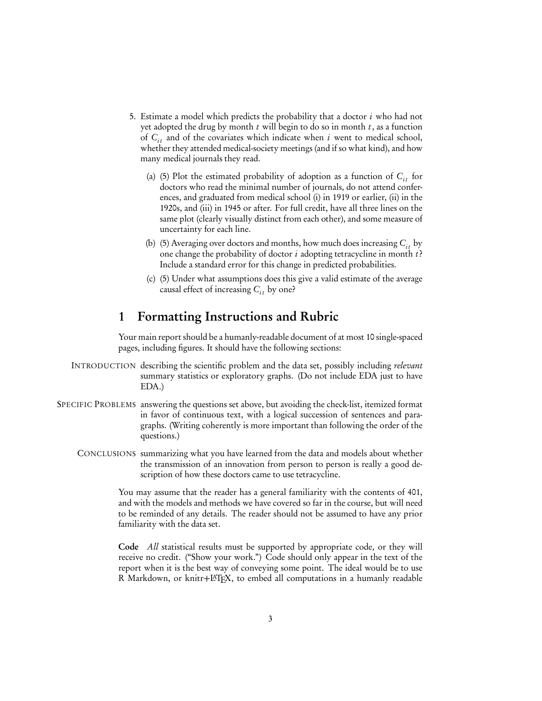- <span id="page-2-0"></span>5. Estimate a model which predicts the probability that a doctor  $i$  who had not yet adopted the drug by month  $t$  will begin to do so in month  $t$ , as a function of  $C_{it}$  and of the covariates which indicate when i went to medical school, whether they attended medical-society meetings (and if so what kind), and how many medical journals they read.
	- (a) (5) Plot the estimated probability of adoption as a function of  $C_{it}$  for doctors who read the minimal number of journals, do not attend conferences, and graduated from medical school (i) in 1919 or earlier, (ii) in the 1920s, and (iii) in 1945 or after. For full credit, have all three lines on the same plot (clearly visually distinct from each other), and some measure of uncertainty for each line.
	- (b) (5) Averaging over doctors and months, how much does increasing  $C_{it}$  by one change the probability of doctor  $i$  adopting tetracycline in month  $t$ ? Include a standard error for this change in predicted probabilities.
	- (c) (5) Under what assumptions does this give a valid estimate of the average causal effect of increasing  $C_{it}$  by one?

## 1 Formatting Instructions and Rubric

Your main report should be a humanly-readable document of at most 10 single-spaced pages, including figures. It should have the following sections:

- INTRODUCTION describing the scientific problem and the data set, possibly including relevant summary statistics or exploratory graphs. (Do not include EDA just to have EDA.)
- SPECIFIC PROBLEMS answering the questions set above, but avoiding the check-list, itemized format in favor of continuous text, with a logical succession of sentences and paragraphs. (Writing coherently is more important than following the order of the questions.)
	- CONCLUSIONS summarizing what you have learned from the data and models about whether the transmission of an innovation from person to person is really a good description of how these doctors came to use tetracycline.

You may assume that the reader has a general familiarity with the contents of 401, and with the models and methods we have covered so far in the course, but will need to be reminded of any details. The reader should not be assumed to have any prior familiarity with the data set.

Code All statistical results must be supported by appropriate code, or they will receive no credit. ("Show your work.") Code should only appear in the text of the report when it is the best way of conveying some point. The ideal would be to use R Markdown, or knitr+LATEX, to embed all computations in a humanly readable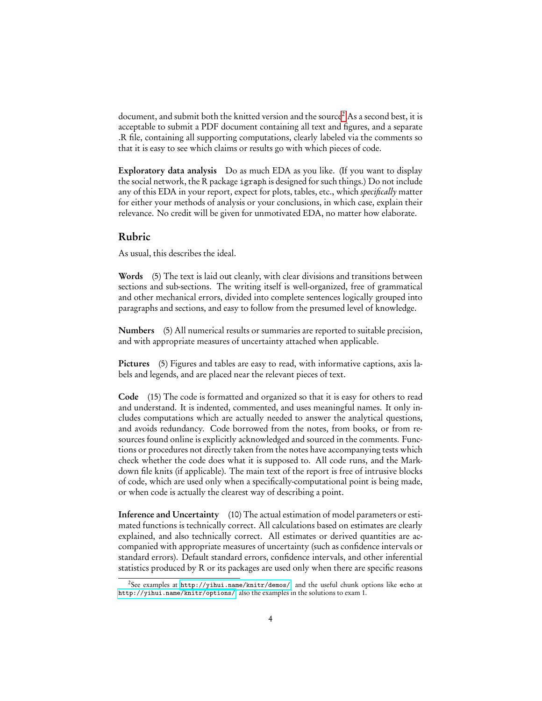document, and submit both the knitted version and the source<sup>[2](#page-3-0)</sup> As a second best, it is acceptable to submit a PDF document containing all text and figures, and a separate .R file, containing all supporting computations, clearly labeled via the comments so that it is easy to see which claims or results go with which pieces of code.

Exploratory data analysis Do as much EDA as you like. (If you want to display the social network, the R package igraph is designed for such things.) Do not include any of this EDA in your report, expect for plots, tables, etc., which specifically matter for either your methods of analysis or your conclusions, in which case, explain their relevance. No credit will be given for unmotivated EDA, no matter how elaborate.

## Rubric

As usual, this describes the ideal.

Words (5) The text is laid out cleanly, with clear divisions and transitions between sections and sub-sections. The writing itself is well-organized, free of grammatical and other mechanical errors, divided into complete sentences logically grouped into paragraphs and sections, and easy to follow from the presumed level of knowledge.

Numbers (5) All numerical results or summaries are reported to suitable precision, and with appropriate measures of uncertainty attached when applicable.

Pictures (5) Figures and tables are easy to read, with informative captions, axis labels and legends, and are placed near the relevant pieces of text.

Code (15) The code is formatted and organized so that it is easy for others to read and understand. It is indented, commented, and uses meaningful names. It only includes computations which are actually needed to answer the analytical questions, and avoids redundancy. Code borrowed from the notes, from books, or from resources found online is explicitly acknowledged and sourced in the comments. Functions or procedures not directly taken from the notes have accompanying tests which check whether the code does what it is supposed to. All code runs, and the Markdown file knits (if applicable). The main text of the report is free of intrusive blocks of code, which are used only when a specifically-computational point is being made, or when code is actually the clearest way of describing a point.

Inference and Uncertainty (10) The actual estimation of model parameters or estimated functions is technically correct. All calculations based on estimates are clearly explained, and also technically correct. All estimates or derived quantities are accompanied with appropriate measures of uncertainty (such as confidence intervals or standard errors). Default standard errors, confidence intervals, and other inferential statistics produced by R or its packages are used only when there are specific reasons

<span id="page-3-0"></span> $^{2}$ See examples at <code><http://yihui.name/knitr/demos/></code>, and the useful chunk options like <code>echo</code> at <http://yihui.name/knitr/options/>; also the examples in the solutions to exam 1.